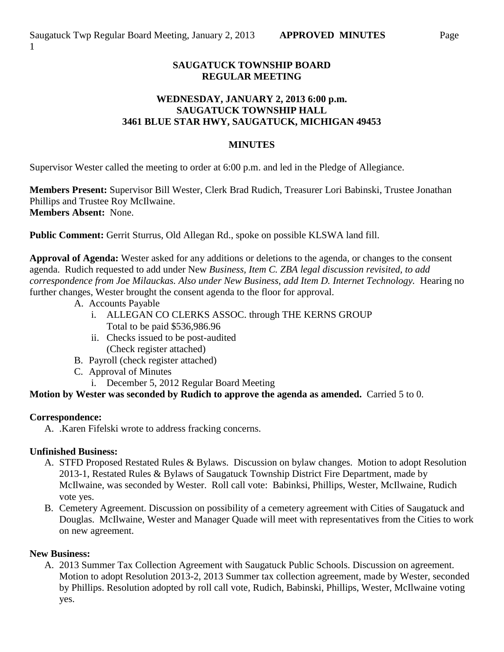## **SAUGATUCK TOWNSHIP BOARD REGULAR MEETING**

## **WEDNESDAY, JANUARY 2, 2013 6:00 p.m. SAUGATUCK TOWNSHIP HALL 3461 BLUE STAR HWY, SAUGATUCK, MICHIGAN 49453**

#### **MINUTES**

Supervisor Wester called the meeting to order at 6:00 p.m. and led in the Pledge of Allegiance.

**Members Present:** Supervisor Bill Wester, Clerk Brad Rudich, Treasurer Lori Babinski, Trustee Jonathan Phillips and Trustee Roy McIlwaine. **Members Absent:** None.

**Public Comment:** Gerrit Sturrus, Old Allegan Rd., spoke on possible KLSWA land fill.

**Approval of Agenda:** Wester asked for any additions or deletions to the agenda, or changes to the consent agenda. Rudich requested to add under New *Business, Item C. ZBA legal discussion revisited, to add correspondence from Joe Milauckas. Also under New Business, add Item D. Internet Technology.* Hearing no further changes, Wester brought the consent agenda to the floor for approval.

- A. Accounts Payable
	- i. ALLEGAN CO CLERKS ASSOC. through THE KERNS GROUP Total to be paid \$536,986.96
	- ii. Checks issued to be post-audited (Check register attached)
- B. Payroll (check register attached)
- C. Approval of Minutes
	- i. December 5, 2012 Regular Board Meeting

**Motion by Wester was seconded by Rudich to approve the agenda as amended.** Carried 5 to 0.

#### **Correspondence:**

A. .Karen Fifelski wrote to address fracking concerns.

#### **Unfinished Business:**

- A. STFD Proposed Restated Rules & Bylaws. Discussion on bylaw changes. Motion to adopt Resolution 2013-1, Restated Rules & Bylaws of Saugatuck Township District Fire Department, made by McIlwaine, was seconded by Wester. Roll call vote: Babinksi, Phillips, Wester, McIlwaine, Rudich vote yes.
- B. Cemetery Agreement. Discussion on possibility of a cemetery agreement with Cities of Saugatuck and Douglas. McIlwaine, Wester and Manager Quade will meet with representatives from the Cities to work on new agreement.

#### **New Business:**

A. 2013 Summer Tax Collection Agreement with Saugatuck Public Schools. Discussion on agreement. Motion to adopt Resolution 2013-2, 2013 Summer tax collection agreement, made by Wester, seconded by Phillips. Resolution adopted by roll call vote, Rudich, Babinski, Phillips, Wester, McIlwaine voting yes.